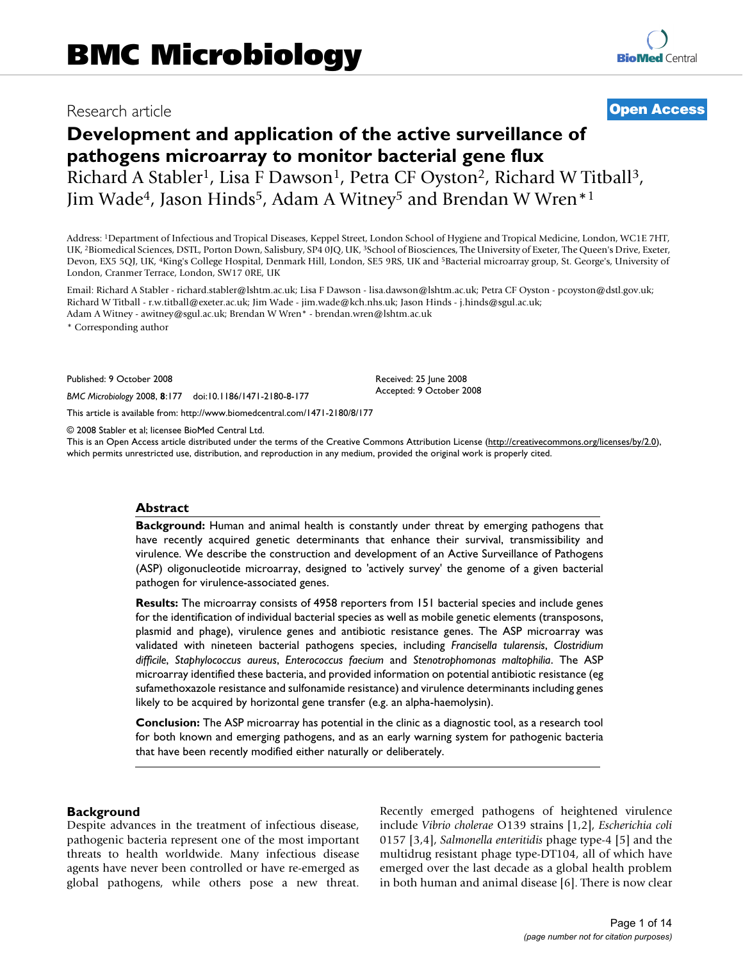# Research article **[Open Access](http://www.biomedcentral.com/info/about/charter/)**

# **Development and application of the active surveillance of pathogens microarray to monitor bacterial gene flux** Richard A Stabler<sup>1</sup>, Lisa F Dawson<sup>1</sup>, Petra CF Oyston<sup>2</sup>, Richard W Titball<sup>3</sup>, Jim Wade<sup>4</sup>, Jason Hinds<sup>5</sup>, Adam A Witney<sup>5</sup> and Brendan W Wren<sup>\*1</sup>

Address: 1Department of Infectious and Tropical Diseases, Keppel Street, London School of Hygiene and Tropical Medicine, London, WC1E 7HT, UK, 2Biomedical Sciences, DSTL, Porton Down, Salisbury, SP4 0JQ, UK, 3School of Biosciences, The University of Exeter, The Queen's Drive, Exeter, Devon, EX5 5QJ, UK, 4King's College Hospital, Denmark Hill, London, SE5 9RS, UK and 5Bacterial microarray group, St. George's, University of London, Cranmer Terrace, London, SW17 0RE, UK

Email: Richard A Stabler - richard.stabler@lshtm.ac.uk; Lisa F Dawson - lisa.dawson@lshtm.ac.uk; Petra CF Oyston - pcoyston@dstl.gov.uk; Richard W Titball - r.w.titball@exeter.ac.uk; Jim Wade - jim.wade@kch.nhs.uk; Jason Hinds - j.hinds@sgul.ac.uk; Adam A Witney - awitney@sgul.ac.uk; Brendan W Wren\* - brendan.wren@lshtm.ac.uk

\* Corresponding author

Published: 9 October 2008

*BMC Microbiology* 2008, **8**:177 doi:10.1186/1471-2180-8-177

[This article is available from: http://www.biomedcentral.com/1471-2180/8/177](http://www.biomedcentral.com/1471-2180/8/177)

© 2008 Stabler et al; licensee BioMed Central Ltd.

This is an Open Access article distributed under the terms of the Creative Commons Attribution License [\(http://creativecommons.org/licenses/by/2.0\)](http://creativecommons.org/licenses/by/2.0), which permits unrestricted use, distribution, and reproduction in any medium, provided the original work is properly cited.

Received: 25 June 2008 Accepted: 9 October 2008

#### **Abstract**

**Background:** Human and animal health is constantly under threat by emerging pathogens that have recently acquired genetic determinants that enhance their survival, transmissibility and virulence. We describe the construction and development of an Active Surveillance of Pathogens (ASP) oligonucleotide microarray, designed to 'actively survey' the genome of a given bacterial pathogen for virulence-associated genes.

**Results:** The microarray consists of 4958 reporters from 151 bacterial species and include genes for the identification of individual bacterial species as well as mobile genetic elements (transposons, plasmid and phage), virulence genes and antibiotic resistance genes. The ASP microarray was validated with nineteen bacterial pathogens species, including *Francisella tularensis*, *Clostridium difficile*, *Staphylococcus aureus*, *Enterococcus faecium* and *Stenotrophomonas maltophilia*. The ASP microarray identified these bacteria, and provided information on potential antibiotic resistance (eg sufamethoxazole resistance and sulfonamide resistance) and virulence determinants including genes likely to be acquired by horizontal gene transfer (e.g. an alpha-haemolysin).

**Conclusion:** The ASP microarray has potential in the clinic as a diagnostic tool, as a research tool for both known and emerging pathogens, and as an early warning system for pathogenic bacteria that have been recently modified either naturally or deliberately.

#### **Background**

Despite advances in the treatment of infectious disease, pathogenic bacteria represent one of the most important threats to health worldwide. Many infectious disease agents have never been controlled or have re-emerged as global pathogens, while others pose a new threat. Recently emerged pathogens of heightened virulence include *Vibrio cholerae* O139 strains [1,2], *Escherichia coli* 0157 [3,4], *Salmonella enteritidis* phage type-4 [\[5\]](#page-12-0) and the multidrug resistant phage type-DT104, all of which have emerged over the last decade as a global health problem in both human and animal disease [[6](#page-13-0)]. There is now clear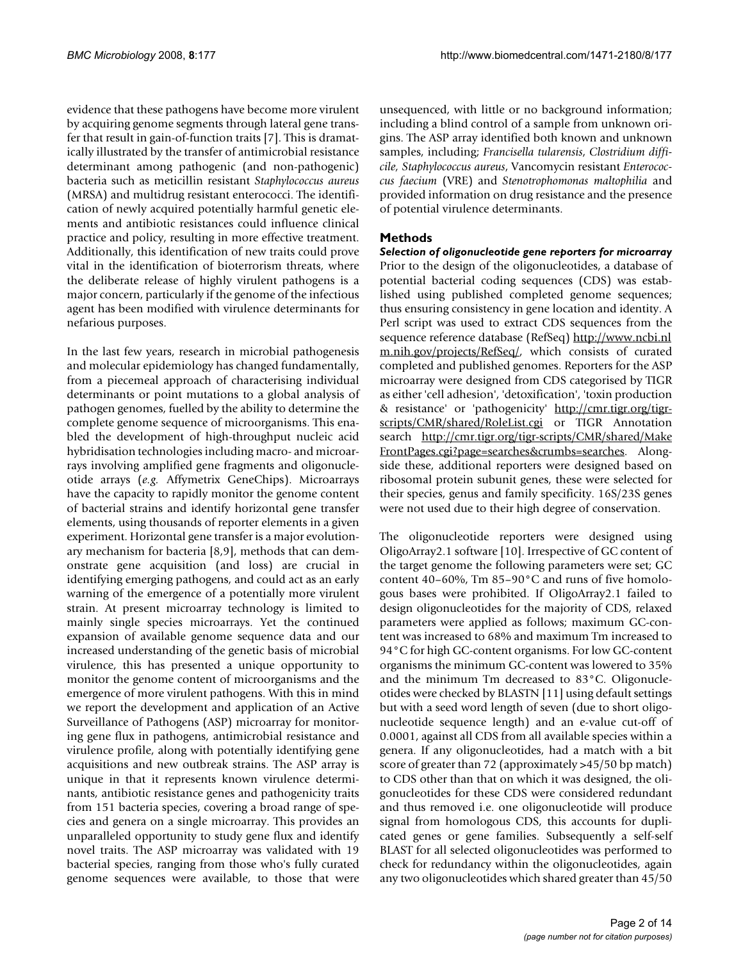evidence that these pathogens have become more virulent by acquiring genome segments through lateral gene transfer that result in gain-of-function traits [7]. This is dramatically illustrated by the transfer of antimicrobial resistance determinant among pathogenic (and non-pathogenic) bacteria such as meticillin resistant *Staphylococcus aureus* (MRSA) and multidrug resistant enterococci. The identification of newly acquired potentially harmful genetic elements and antibiotic resistances could influence clinical practice and policy, resulting in more effective treatment. Additionally, this identification of new traits could prove vital in the identification of bioterrorism threats, where the deliberate release of highly virulent pathogens is a major concern, particularly if the genome of the infectious agent has been modified with virulence determinants for nefarious purposes.

In the last few years, research in microbial pathogenesis and molecular epidemiology has changed fundamentally, from a piecemeal approach of characterising individual determinants or point mutations to a global analysis of pathogen genomes, fuelled by the ability to determine the complete genome sequence of microorganisms. This enabled the development of high-throughput nucleic acid hybridisation technologies including macro- and microarrays involving amplified gene fragments and oligonucleotide arrays (*e.g.* Affymetrix GeneChips). Microarrays have the capacity to rapidly monitor the genome content of bacterial strains and identify horizontal gene transfer elements, using thousands of reporter elements in a given experiment. Horizontal gene transfer is a major evolutionary mechanism for bacteria [8,9], methods that can demonstrate gene acquisition (and loss) are crucial in identifying emerging pathogens, and could act as an early warning of the emergence of a potentially more virulent strain. At present microarray technology is limited to mainly single species microarrays. Yet the continued expansion of available genome sequence data and our increased understanding of the genetic basis of microbial virulence, this has presented a unique opportunity to monitor the genome content of microorganisms and the emergence of more virulent pathogens. With this in mind we report the development and application of an Active Surveillance of Pathogens (ASP) microarray for monitoring gene flux in pathogens, antimicrobial resistance and virulence profile, along with potentially identifying gene acquisitions and new outbreak strains. The ASP array is unique in that it represents known virulence determinants, antibiotic resistance genes and pathogenicity traits from 151 bacteria species, covering a broad range of species and genera on a single microarray. This provides an unparalleled opportunity to study gene flux and identify novel traits. The ASP microarray was validated with 19 bacterial species, ranging from those who's fully curated genome sequences were available, to those that were

unsequenced, with little or no background information; including a blind control of a sample from unknown origins. The ASP array identified both known and unknown samples, including; *Francisella tularensis*, *Clostridium difficile, Staphylococcus aureus*, Vancomycin resistant *Enterococcus faecium* (VRE) and *Stenotrophomonas maltophilia* and provided information on drug resistance and the presence of potential virulence determinants.

# **Methods**

*Selection of oligonucleotide gene reporters for microarray* Prior to the design of the oligonucleotides, a database of potential bacterial coding sequences (CDS) was established using published completed genome sequences; thus ensuring consistency in gene location and identity. A Perl script was used to extract CDS sequences from the sequence reference database (RefSeq) [http://www.ncbi.nl](http://www.ncbi.nlm.nih.gov/projects/RefSeq/) [m.nih.gov/projects/RefSeq/](http://www.ncbi.nlm.nih.gov/projects/RefSeq/), which consists of curated completed and published genomes. Reporters for the ASP microarray were designed from CDS categorised by TIGR as either 'cell adhesion', 'detoxification', 'toxin production & resistance' or 'pathogenicity' [http://cmr.tigr.org/tigr](http://cmr.tigr.org/tigr-scripts/CMR/shared/RoleList.cgi)[scripts/CMR/shared/RoleList.cgi](http://cmr.tigr.org/tigr-scripts/CMR/shared/RoleList.cgi) or TIGR Annotation search [http://cmr.tigr.org/tigr-scripts/CMR/shared/Make](http://cmr.tigr.org/tigr-scripts/CMR/shared/MakeFrontPages.cgi?page=searches&crumbs=searches) [FrontPages.cgi?page=searches&crumbs=searches.](http://cmr.tigr.org/tigr-scripts/CMR/shared/MakeFrontPages.cgi?page=searches&crumbs=searches) Alongside these, additional reporters were designed based on ribosomal protein subunit genes, these were selected for their species, genus and family specificity. 16S/23S genes were not used due to their high degree of conservation.

The oligonucleotide reporters were designed using OligoArray2.1 software [10]. Irrespective of GC content of the target genome the following parameters were set; GC content 40–60%, Tm 85–90°C and runs of five homologous bases were prohibited. If OligoArray2.1 failed to design oligonucleotides for the majority of CDS, relaxed parameters were applied as follows; maximum GC-content was increased to 68% and maximum Tm increased to 94°C for high GC-content organisms. For low GC-content organisms the minimum GC-content was lowered to 35% and the minimum Tm decreased to 83°C. Oligonucleotides were checked by BLASTN [11] using default settings but with a seed word length of seven (due to short oligonucleotide sequence length) and an e-value cut-off of 0.0001, against all CDS from all available species within a genera. If any oligonucleotides, had a match with a bit score of greater than 72 (approximately >45/50 bp match) to CDS other than that on which it was designed, the oligonucleotides for these CDS were considered redundant and thus removed i.e. one oligonucleotide will produce signal from homologous CDS, this accounts for duplicated genes or gene families. Subsequently a self-self BLAST for all selected oligonucleotides was performed to check for redundancy within the oligonucleotides, again any two oligonucleotides which shared greater than 45/50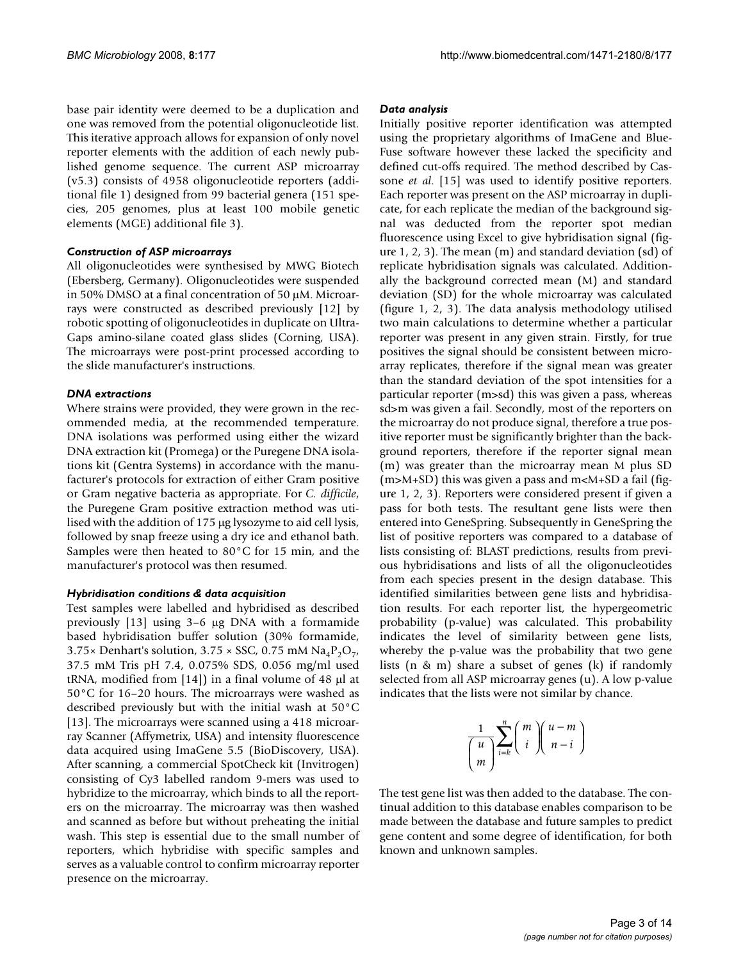base pair identity were deemed to be a duplication and one was removed from the potential oligonucleotide list. This iterative approach allows for expansion of only novel reporter elements with the addition of each newly published genome sequence. The current ASP microarray (v5.3) consists of 4958 oligonucleotide reporters (additional file 1) designed from 99 bacterial genera (151 species, 205 genomes, plus at least 100 mobile genetic elements (MGE) additional file 3).

### *Construction of ASP microarrays*

All oligonucleotides were synthesised by MWG Biotech (Ebersberg, Germany). Oligonucleotides were suspended in 50% DMSO at a final concentration of 50 μM. Microarrays were constructed as described previously [12] by robotic spotting of oligonucleotides in duplicate on Ultra-Gaps amino-silane coated glass slides (Corning, USA). The microarrays were post-print processed according to the slide manufacturer's instructions.

# *DNA extractions*

Where strains were provided, they were grown in the recommended media, at the recommended temperature. DNA isolations was performed using either the wizard DNA extraction kit (Promega) or the Puregene DNA isolations kit (Gentra Systems) in accordance with the manufacturer's protocols for extraction of either Gram positive or Gram negative bacteria as appropriate. For *C. difficile*, the Puregene Gram positive extraction method was utilised with the addition of 175 μg lysozyme to aid cell lysis, followed by snap freeze using a dry ice and ethanol bath. Samples were then heated to 80°C for 15 min, and the manufacturer's protocol was then resumed.

# *Hybridisation conditions & data acquisition*

Test samples were labelled and hybridised as described previously [13] using 3–6 μg DNA with a formamide based hybridisation buffer solution (30% formamide, 3.75× Denhart's solution, 3.75 × SSC, 0.75 mM  $\text{Na}_4\text{P}_2\text{O}_7$ , 37.5 mM Tris pH 7.4, 0.075% SDS, 0.056 mg/ml used tRNA, modified from [14]) in a final volume of 48 μl at 50°C for 16–20 hours. The microarrays were washed as described previously but with the initial wash at 50°C [13]. The microarrays were scanned using a 418 microarray Scanner (Affymetrix, USA) and intensity fluorescence data acquired using ImaGene 5.5 (BioDiscovery, USA). After scanning, a commercial SpotCheck kit (Invitrogen) consisting of Cy3 labelled random 9-mers was used to hybridize to the microarray, which binds to all the reporters on the microarray. The microarray was then washed and scanned as before but without preheating the initial wash. This step is essential due to the small number of reporters, which hybridise with specific samples and serves as a valuable control to confirm microarray reporter presence on the microarray.

### *Data analysis*

Initially positive reporter identification was attempted using the proprietary algorithms of ImaGene and Blue-Fuse software however these lacked the specificity and defined cut-offs required. The method described by Cassone *et al*. [15] was used to identify positive reporters. Each reporter was present on the ASP microarray in duplicate, for each replicate the median of the background signal was deducted from the reporter spot median fluorescence using Excel to give hybridisation signal (figure 1, 2, 3). The mean (m) and standard deviation (sd) of replicate hybridisation signals was calculated. Additionally the background corrected mean (M) and standard deviation (SD) for the whole microarray was calculated (figure 1, 2, 3). The data analysis methodology utilised two main calculations to determine whether a particular reporter was present in any given strain. Firstly, for true positives the signal should be consistent between microarray replicates, therefore if the signal mean was greater than the standard deviation of the spot intensities for a particular reporter (m>sd) this was given a pass, whereas sd>m was given a fail. Secondly, most of the reporters on the microarray do not produce signal, therefore a true positive reporter must be significantly brighter than the background reporters, therefore if the reporter signal mean (m) was greater than the microarray mean M plus SD  $(m>M+SD)$  this was given a pass and m<M+SD a fail (figure 1, 2, 3). Reporters were considered present if given a pass for both tests. The resultant gene lists were then entered into GeneSpring. Subsequently in GeneSpring the list of positive reporters was compared to a database of lists consisting of: BLAST predictions, results from previous hybridisations and lists of all the oligonucleotides from each species present in the design database. This identified similarities between gene lists and hybridisation results. For each reporter list, the hypergeometric probability (p-value) was calculated. This probability indicates the level of similarity between gene lists, whereby the p-value was the probability that two gene lists (n & m) share a subset of genes (k) if randomly selected from all ASP microarray genes (u). A low p-value indicates that the lists were not similar by chance.

$$
\frac{1}{\binom{u}{m}}\sum_{i=k}^{n}\binom{m}{i}\binom{u-m}{n-i}
$$

The test gene list was then added to the database. The continual addition to this database enables comparison to be made between the database and future samples to predict gene content and some degree of identification, for both known and unknown samples.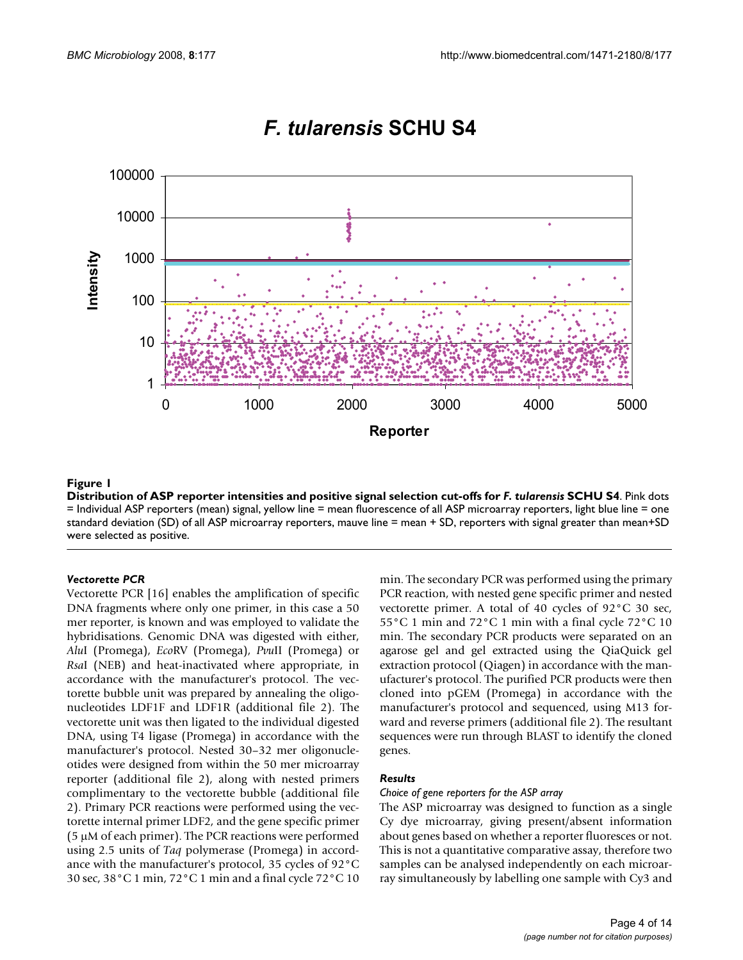

# $F.$  tularensis **SCHU S4**

#### Distribution of ASP reporter intensities an **Figure 1** d positive signal selection cut-offs for *F. tularensis* SCHU S4

**Distribution of ASP reporter intensities and positive signal selection cut-offs for** *F. tularensis* **SCHU S4**. Pink dots = Individual ASP reporters (mean) signal, yellow line = mean fluorescence of all ASP microarray reporters, light blue line = one standard deviation (SD) of all ASP microarray reporters, mauve line = mean + SD, reporters with signal greater than mean+SD were selected as positive.

# *Vectorette PCR*

Vectorette PCR [16] enables the amplification of specific DNA fragments where only one primer, in this case a 50 mer reporter, is known and was employed to validate the hybridisations. Genomic DNA was digested with either, *Alu*I (Promega), *Eco*RV (Promega), *Pvu*II (Promega) or *Rsa*I (NEB) and heat-inactivated where appropriate, in accordance with the manufacturer's protocol. The vectorette bubble unit was prepared by annealing the oligonucleotides LDF1F and LDF1R (additional file 2). The vectorette unit was then ligated to the individual digested DNA, using T4 ligase (Promega) in accordance with the manufacturer's protocol. Nested 30–32 mer oligonucleotides were designed from within the 50 mer microarray reporter (additional file 2), along with nested primers complimentary to the vectorette bubble (additional file 2). Primary PCR reactions were performed using the vectorette internal primer LDF2, and the gene specific primer (5 μM of each primer). The PCR reactions were performed using 2.5 units of *Taq* polymerase (Promega) in accordance with the manufacturer's protocol, 35 cycles of 92°C 30 sec, 38°C 1 min, 72°C 1 min and a final cycle 72°C 10 min. The secondary PCR was performed using the primary PCR reaction, with nested gene specific primer and nested vectorette primer. A total of 40 cycles of 92°C 30 sec, 55°C 1 min and 72°C 1 min with a final cycle 72°C 10 min. The secondary PCR products were separated on an agarose gel and gel extracted using the QiaQuick gel extraction protocol (Qiagen) in accordance with the manufacturer's protocol. The purified PCR products were then cloned into pGEM (Promega) in accordance with the manufacturer's protocol and sequenced, using M13 forward and reverse primers (additional file 2). The resultant sequences were run through BLAST to identify the cloned genes.

#### *Results*

#### *Choice of gene reporters for the ASP array*

The ASP microarray was designed to function as a single Cy dye microarray, giving present/absent information about genes based on whether a reporter fluoresces or not. This is not a quantitative comparative assay, therefore two samples can be analysed independently on each microarray simultaneously by labelling one sample with Cy3 and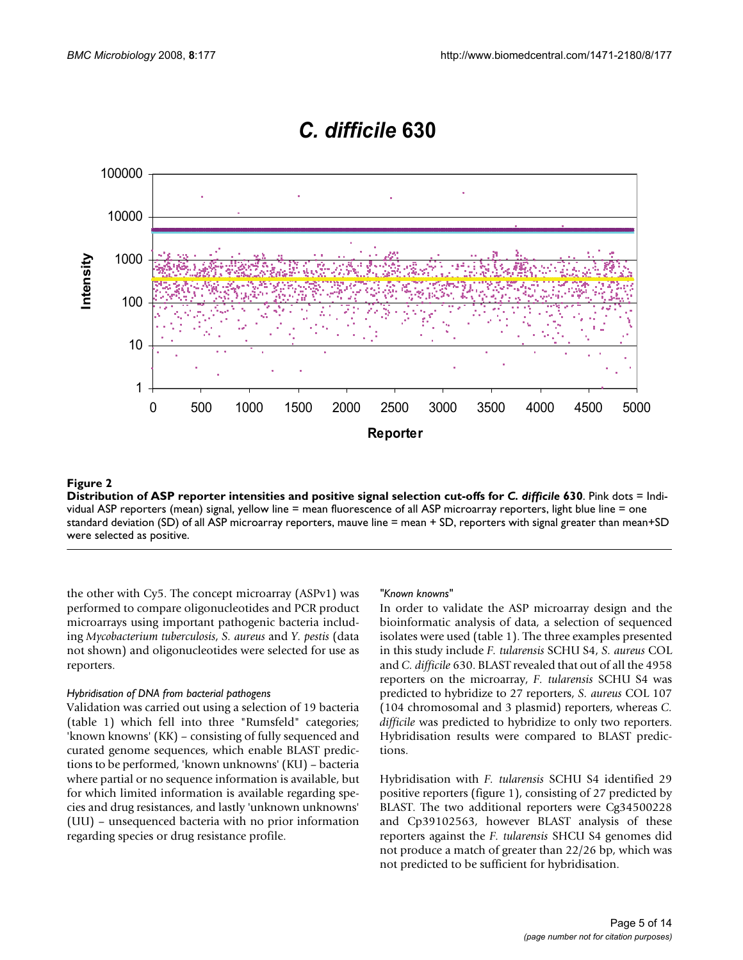

# **C difficile 630** *C. difficile* **630**

#### **Figure 2** Distribution of ASP reporter intensities and positive signal selection cut-offs for *C. difficile* 630

**Distribution of ASP reporter intensities and positive signal selection cut-offs for** *C. difficile* **630**. Pink dots = Individual ASP reporters (mean) signal, yellow line = mean fluorescence of all ASP microarray reporters, light blue line = one standard deviation (SD) of all ASP microarray reporters, mauve line = mean + SD, reporters with signal greater than mean+SD were selected as positive.

the other with Cy5. The concept microarray (ASPv1) was performed to compare oligonucleotides and PCR product microarrays using important pathogenic bacteria including *Mycobacterium tuberculosis*, *S. aureus* and *Y. pestis* (data not shown) and oligonucleotides were selected for use as reporters.

#### *Hybridisation of DNA from bacterial pathogens*

Validation was carried out using a selection of 19 bacteria (table 1) which fell into three "Rumsfeld" categories; 'known knowns' (KK) – consisting of fully sequenced and curated genome sequences, which enable BLAST predictions to be performed, 'known unknowns' (KU) – bacteria where partial or no sequence information is available, but for which limited information is available regarding species and drug resistances, and lastly 'unknown unknowns' (UU) – unsequenced bacteria with no prior information regarding species or drug resistance profile.

#### *"Known knowns"*

In order to validate the ASP microarray design and the bioinformatic analysis of data, a selection of sequenced isolates were used (table 1). The three examples presented in this study include *F. tularensis* SCHU S4, *S. aureus* COL and *C. difficile* 630. BLAST revealed that out of all the 4958 reporters on the microarray, *F. tularensis* SCHU S4 was predicted to hybridize to 27 reporters, *S. aureus* COL 107 (104 chromosomal and 3 plasmid) reporters, whereas *C. difficile* was predicted to hybridize to only two reporters. Hybridisation results were compared to BLAST predictions.

Hybridisation with *F. tularensis* SCHU S4 identified 29 positive reporters (figure 1), consisting of 27 predicted by BLAST. The two additional reporters were Cg34500228 and Cp39102563, however BLAST analysis of these reporters against the *F. tularensis* SHCU S4 genomes did not produce a match of greater than 22/26 bp, which was not predicted to be sufficient for hybridisation.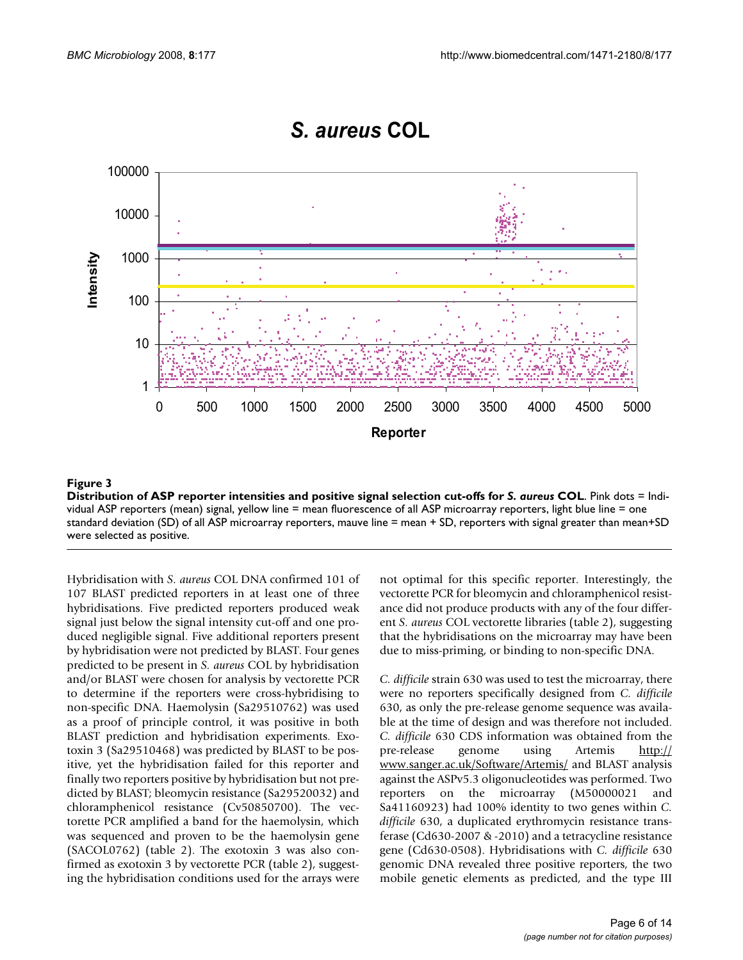

# **S. aureus COL** *S. aureus* **COL**

# Distribution of ASP reporter intensities an **Figure 3** d positive signal selection cut-offs for *S. aureus* COL

**Distribution of ASP reporter intensities and positive signal selection cut-offs for** *S. aureus* **COL**. Pink dots = Individual ASP reporters (mean) signal, yellow line = mean fluorescence of all ASP microarray reporters, light blue line = one standard deviation (SD) of all ASP microarray reporters, mauve line = mean + SD, reporters with signal greater than mean+SD were selected as positive.

Hybridisation with *S. aureus* COL DNA confirmed 101 of 107 BLAST predicted reporters in at least one of three hybridisations. Five predicted reporters produced weak signal just below the signal intensity cut-off and one produced negligible signal. Five additional reporters present by hybridisation were not predicted by BLAST. Four genes predicted to be present in *S. aureus* COL by hybridisation and/or BLAST were chosen for analysis by vectorette PCR to determine if the reporters were cross-hybridising to non-specific DNA. Haemolysin (Sa29510762) was used as a proof of principle control, it was positive in both BLAST prediction and hybridisation experiments. Exotoxin 3 (Sa29510468) was predicted by BLAST to be positive, yet the hybridisation failed for this reporter and finally two reporters positive by hybridisation but not predicted by BLAST; bleomycin resistance (Sa29520032) and chloramphenicol resistance (Cv50850700). The vectorette PCR amplified a band for the haemolysin, which was sequenced and proven to be the haemolysin gene (SACOL0762) (table 2). The exotoxin 3 was also confirmed as exotoxin 3 by vectorette PCR (table 2), suggesting the hybridisation conditions used for the arrays were not optimal for this specific reporter. Interestingly, the vectorette PCR for bleomycin and chloramphenicol resistance did not produce products with any of the four different *S. aureus* COL vectorette libraries (table 2), suggesting that the hybridisations on the microarray may have been due to miss-priming, or binding to non-specific DNA.

*C. difficile* strain 630 was used to test the microarray, there were no reporters specifically designed from *C. difficile* 630, as only the pre-release genome sequence was available at the time of design and was therefore not included. *C. difficile* 630 CDS information was obtained from the pre-release genome using Artemis [http://](http://www.sanger.ac.uk/Software/Artemis/) [www.sanger.ac.uk/Software/Artemis/](http://www.sanger.ac.uk/Software/Artemis/) and BLAST analysis against the ASPv5.3 oligonucleotides was performed. Two reporters on the microarray (M50000021 and Sa41160923) had 100% identity to two genes within *C. difficile* 630, a duplicated erythromycin resistance transferase (Cd630-2007 & -2010) and a tetracycline resistance gene (Cd630-0508). Hybridisations with *C. difficile* 630 genomic DNA revealed three positive reporters, the two mobile genetic elements as predicted, and the type III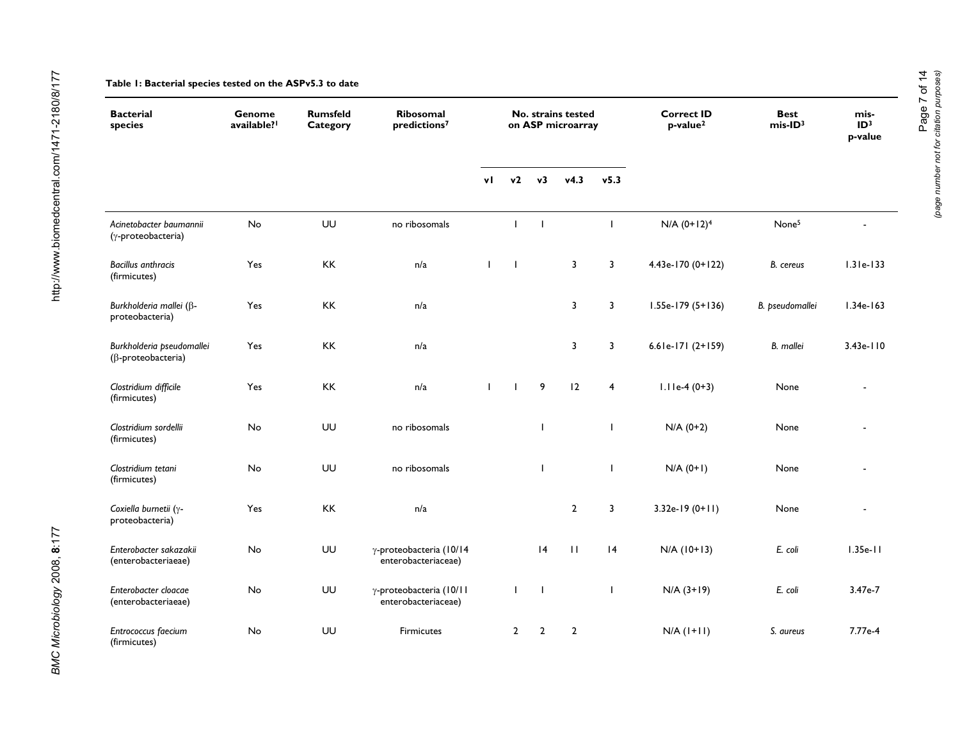| <b>Bacterial</b><br>species                            | Genome<br>available? | <b>Rumsfeld</b><br>Category | <b>Ribosomal</b><br>predictions <sup>7</sup> |    |              |    | No. strains tested<br>on ASP microarray |                         | <b>Correct ID</b><br>p-value <sup>2</sup> | <b>Best</b><br>$mis$ -ID $3$ | mis-<br>ID <sup>3</sup><br>p-value |
|--------------------------------------------------------|----------------------|-----------------------------|----------------------------------------------|----|--------------|----|-----------------------------------------|-------------------------|-------------------------------------------|------------------------------|------------------------------------|
|                                                        |                      |                             |                                              | vl | v2           | v3 | v4.3                                    | v5.3                    |                                           |                              |                                    |
| Acinetobacter baumannii<br>$(\gamma$ -proteobacteria)  | No                   | UU                          | no ribosomals                                |    |              |    |                                         |                         | $N/A (0+12)^4$                            | None <sup>5</sup>            |                                    |
| <b>Bacillus anthracis</b><br>(firmicutes)              | Yes                  | KK                          | n/a                                          |    | $\mathbf{I}$ |    | $\mathbf{3}$                            | $\overline{\mathbf{3}}$ | 4.43e-170 (0+122)                         | B. cereus                    | $1.31e-133$                        |
| Burkholderia mallei (β-<br>proteobacteria)             | Yes                  | KK                          | n/a                                          |    |              |    | 3                                       | 3                       | $1.55e-179(5+136)$                        | B. pseudomallei              | $1.34e-163$                        |
| Burkholderia pseudomallei<br>$(\beta$ -proteobacteria) | Yes                  | KK                          | n/a                                          |    |              |    | 3                                       | 3                       | $6.61e-171(2+159)$                        | <b>B.</b> mallei             | 3.43e-110                          |
| Clostridium difficile<br>(firmicutes)                  | Yes                  | KK                          | n/a                                          |    |              | 9  | 12                                      | $\overline{4}$          | $1.11e-4(0+3)$                            | None                         | $\overline{\phantom{a}}$           |
| Clostridium sordellii                                  | No                   | UU                          | no ribosomals                                |    |              |    |                                         |                         | $N/A (0+2)$                               | None                         |                                    |

 γ-proteobacteria (10/14 .<br>enterobacteriaceae)

 γ-proteobacteria (10/11 enterobacteriaceae)

No UU no ribosomals 1 1 N/A (0+1) None -

No UU Firmicutes 2 2 2 N/A (1+11) *S. aureus* 7.77e-4

14 11 14 N/A (10+13) *E. coli* 1.35e-11

1 1 1 N/A (3+19) *E. coli* 3.47e-7

proteobacteria) Yes KK n/a <sup>2</sup> <sup>3</sup> 3.32e-19 (0+11) None -

(firmicutes)

*Clostridium tetani*  (firmicutes)

*Coxiella burnetii* (γ-

*Enterobacter sakazakii*  (enterobacteriaeae)

*Enterobacter cloacae*  (enterobacteriaeae)

*Entrococcus faecium*  (firmicutes)

No UU

No UU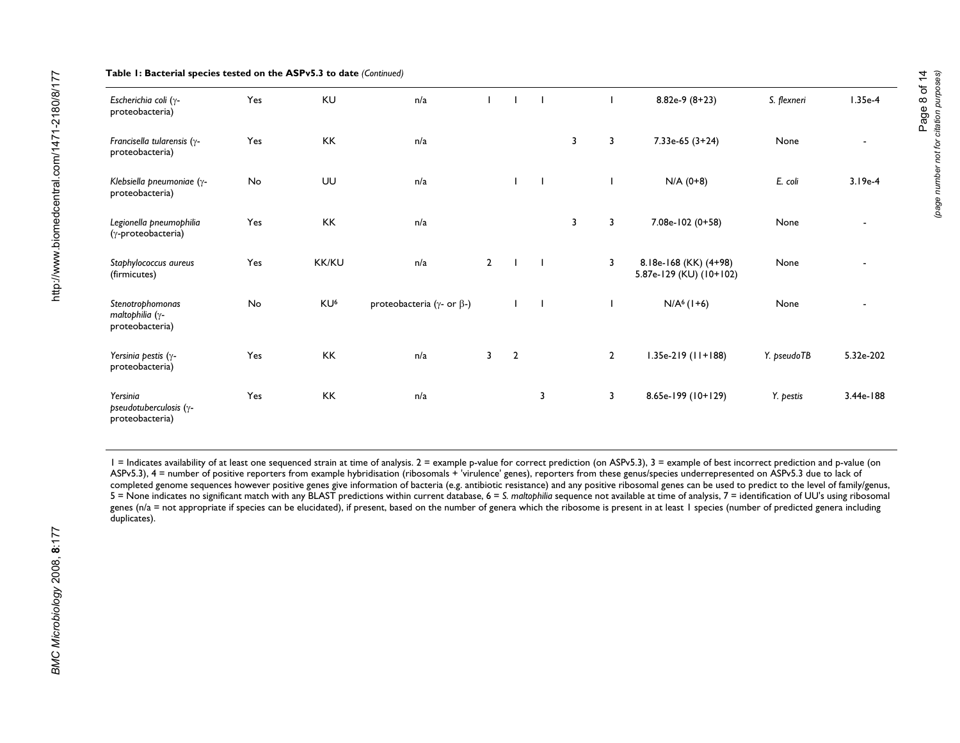#### **Table 1: Bacterial species tested on the ASPv5.3 to date** *(Continued)*

| Table 1: Bacterial species tested on the ASPv5.3 to date (Continued) |     |                 |                           |                |                |   |   |                          |                                                  |             |                          |
|----------------------------------------------------------------------|-----|-----------------|---------------------------|----------------|----------------|---|---|--------------------------|--------------------------------------------------|-------------|--------------------------|
| Escherichia coli (γ-<br>proteobacteria)                              | Yes | KU              | n/a                       |                |                |   |   |                          | $8.82e-9(8+23)$                                  | S. flexneri | $1.35e-4$                |
| Francisella tularensis ( $\gamma$ -<br>proteobacteria)               | Yes | KK              | n/a                       |                |                |   | 3 | 3                        | $7.33e-65(3+24)$                                 | None        | $\blacksquare$           |
| Klebsiella pneumoniae (γ-<br>proteobacteria)                         | No  | UU              | n/a                       |                |                |   |   | $\overline{\phantom{a}}$ | $N/A (0+8)$                                      | E. coli     | $3.19e-4$                |
| Legionella pneumophilia<br>(γ-proteobacteria)                        | Yes | KK              | n/a                       |                |                |   | 3 | 3                        | 7.08e-102 (0+58)                                 | None        | $\blacksquare$           |
| Staphylococcus aureus<br>(firmicutes)                                | Yes | <b>KK/KU</b>    | n/a                       | $\overline{2}$ |                |   |   | 3                        | 8.18e-168 (KK) (4+98)<br>5.87e-129 (KU) (10+102) | None        | $\overline{\phantom{a}}$ |
| Stenotrophomonas<br>maltophilia (γ-<br>proteobacteria)               | No  | KU <sup>6</sup> | proteobacteria (γ- or β-) |                |                |   |   | $\mathbf{I}$             | $N/A6 (1+6)$                                     | None        |                          |
| Yersinia pestis $(\gamma -$<br>proteobacteria)                       | Yes | KK              | n/a                       | 3              | $\overline{2}$ |   |   | $\overline{2}$           | I.35e-219 (11+188)                               | Y. pseudoTB | 5.32e-202                |
| Yersinia<br>pseudotuberculosis (γ-<br>proteobacteria)                | Yes | KK              | n/a                       |                |                | 3 |   | 3                        | 8.65e-199 (10+129)                               | Y. pestis   | 3.44e-188                |

1 = Indicates availability of at least one sequenced strain at time of analysis. 2 = example p-value for correct prediction (on ASPv5.3), 3 = example of best incorrect prediction and p-value (on ASPv5.3), 4 = number of positive reporters from example hybridisation (ribosomals + 'virulence' genes), reporters from these genus/species underrepresented on ASPv5.3 due to lack of completed genome sequences however positive genes give information of bacteria (e.g. antibiotic resistance) and any positive ribosomal genes can be used to predict to the level of family/genus, 5 = None indicates no significant match with any BLAST predictions within current database, 6 = *S. maltophilia* sequence not available at time of analysis, 7 = identification of UU's using ribosomal genes (n/a = not appropriate if species can be elucidated), if present, based on the number of genera which the ribosome is present in at least 1 species (number of predicted genera including duplicates).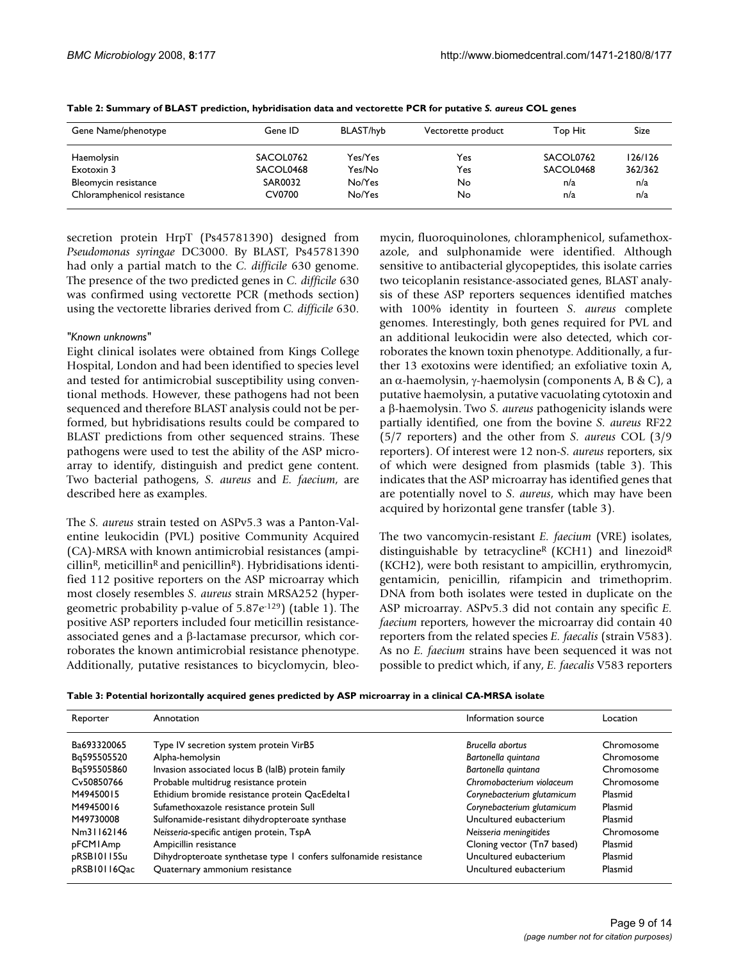| Gene Name/phenotype        | Gene ID   | BLAST/hyb | Vectorette product | Top Hit   | Size    |
|----------------------------|-----------|-----------|--------------------|-----------|---------|
| Haemolysin                 | SACOL0762 | Yes/Yes   | Yes                | SACOL0762 | 126/126 |
| Exotoxin 3                 | SACOL0468 | Yes/No    | Yes                | SACOL0468 | 362/362 |
| Bleomycin resistance       | SAR0032   | No/Yes    | No                 | n/a       | n/a     |
| Chloramphenicol resistance | CV0700    | No/Yes    | No                 | n/a       | n/a     |

**Table 2: Summary of BLAST prediction, hybridisation data and vectorette PCR for putative** *S. aureus* **COL genes**

secretion protein HrpT (Ps45781390) designed from *Pseudomonas syringae* DC3000. By BLAST, Ps45781390 had only a partial match to the *C. difficile* 630 genome. The presence of the two predicted genes in *C. difficile* 630 was confirmed using vectorette PCR (methods section) using the vectorette libraries derived from *C. difficile* 630.

# *"Known unknowns"*

Eight clinical isolates were obtained from Kings College Hospital, London and had been identified to species level and tested for antimicrobial susceptibility using conventional methods. However, these pathogens had not been sequenced and therefore BLAST analysis could not be performed, but hybridisations results could be compared to BLAST predictions from other sequenced strains. These pathogens were used to test the ability of the ASP microarray to identify, distinguish and predict gene content. Two bacterial pathogens, *S. aureus* and *E. faecium*, are described here as examples.

The *S. aureus* strain tested on ASPv5.3 was a Panton-Valentine leukocidin (PVL) positive Community Acquired (CA)-MRSA with known antimicrobial resistances (ampi $cillin<sup>R</sup>$ , meticillin<sup>R</sup> and penicillin<sup>R</sup>). Hybridisations identified 112 positive reporters on the ASP microarray which most closely resembles *S. aureus* strain MRSA252 (hypergeometric probability p-value of 5.87e-129) (table 1). The positive ASP reporters included four meticillin resistanceassociated genes and a β-lactamase precursor, which corroborates the known antimicrobial resistance phenotype. Additionally, putative resistances to bicyclomycin, bleomycin, fluoroquinolones, chloramphenicol, sufamethoxazole, and sulphonamide were identified. Although sensitive to antibacterial glycopeptides, this isolate carries two teicoplanin resistance-associated genes, BLAST analysis of these ASP reporters sequences identified matches with 100% identity in fourteen *S. aureus* complete genomes. Interestingly, both genes required for PVL and an additional leukocidin were also detected, which corroborates the known toxin phenotype. Additionally, a further 13 exotoxins were identified; an exfoliative toxin A, an α-haemolysin, γ-haemolysin (components A, B & C), a putative haemolysin, a putative vacuolating cytotoxin and a β-haemolysin. Two *S. aureus* pathogenicity islands were partially identified, one from the bovine *S. aureus* RF22 (5/7 reporters) and the other from *S. aureus* COL (3/9 reporters). Of interest were 12 non-*S. aureus* reporters, six of which were designed from plasmids (table 3). This indicates that the ASP microarray has identified genes that are potentially novel to *S. aureus*, which may have been acquired by horizontal gene transfer (table 3).

The two vancomycin-resistant *E. faecium* (VRE) isolates, distinguishable by tetracycline<sup>R</sup> (KCH1) and linezoid<sup>R</sup> (KCH2), were both resistant to ampicillin, erythromycin, gentamicin, penicillin, rifampicin and trimethoprim. DNA from both isolates were tested in duplicate on the ASP microarray. ASPv5.3 did not contain any specific *E. faecium* reporters, however the microarray did contain 40 reporters from the related species *E. faecalis* (strain V583). As no *E. faecium* strains have been sequenced it was not possible to predict which, if any, *E. faecalis* V583 reporters

|  | Table 3: Potential horizontally acquired genes predicted by ASP microarray in a clinical CA-MRSA isolate |
|--|----------------------------------------------------------------------------------------------------------|
|--|----------------------------------------------------------------------------------------------------------|

| Reporter     | Annotation                                                       | Information source         | Location   |
|--------------|------------------------------------------------------------------|----------------------------|------------|
| Ba693320065  | Type IV secretion system protein VirB5                           | Brucella abortus           | Chromosome |
| Bq595505520  | Alpha-hemolysin                                                  | Bartonella quintana        | Chromosome |
| Bq595505860  | Invasion associated locus B (lalB) protein family                | Bartonella quintana        | Chromosome |
| Cv50850766   | Probable multidrug resistance protein                            | Chromobacterium violaceum  | Chromosome |
| M49450015    | Ethidium bromide resistance protein QacEdelta I                  | Corynebacterium glutamicum | Plasmid    |
| M49450016    | Sufamethoxazole resistance protein Sull                          | Corynebacterium glutamicum | Plasmid    |
| M49730008    | Sulfonamide-resistant dihydropteroate synthase                   | Uncultured eubacterium     | Plasmid    |
| Nm31162146   | Neisseria-specific antigen protein, TspA                         | Neisseria meningitides     | Chromosome |
| pFCMIAmp     | Ampicillin resistance                                            | Cloning vector (Tn7 based) | Plasmid    |
| pRSB10115Su  | Dihydropteroate synthetase type I confers sulfonamide resistance | Uncultured eubacterium     | Plasmid    |
| pRSB10116Qac | Quaternary ammonium resistance                                   | Uncultured eubacterium     | Plasmid    |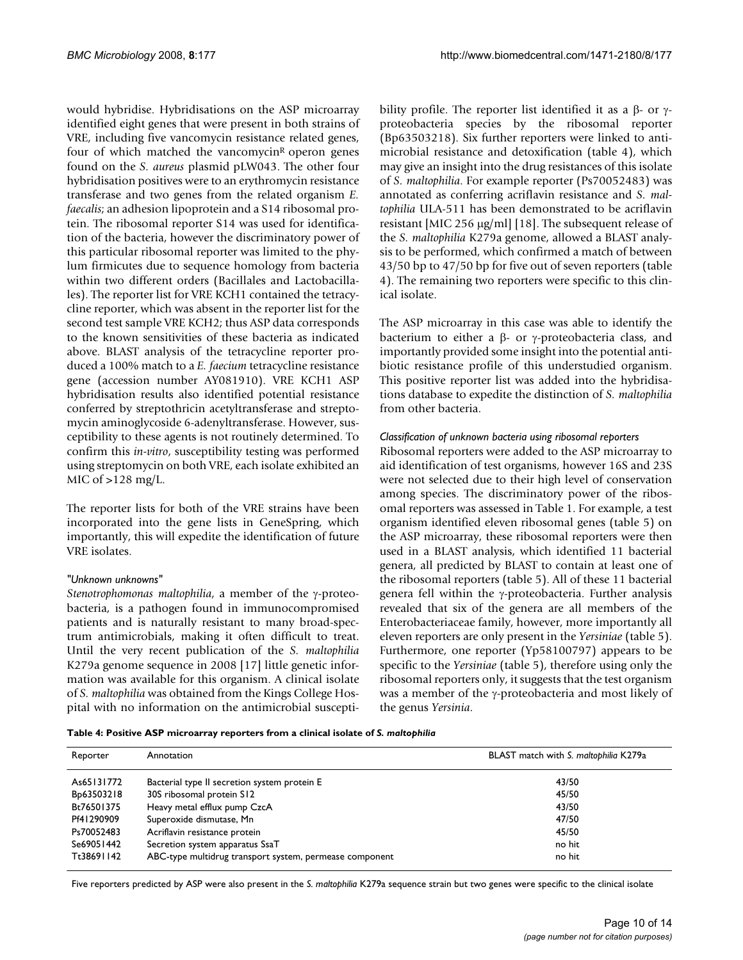would hybridise. Hybridisations on the ASP microarray identified eight genes that were present in both strains of VRE, including five vancomycin resistance related genes, four of which matched the vancomycin<sup>R</sup> operon genes found on the *S. aureus* plasmid pLW043. The other four hybridisation positives were to an erythromycin resistance transferase and two genes from the related organism *E. faecalis*; an adhesion lipoprotein and a S14 ribosomal protein. The ribosomal reporter S14 was used for identification of the bacteria, however the discriminatory power of this particular ribosomal reporter was limited to the phylum firmicutes due to sequence homology from bacteria within two different orders (Bacillales and Lactobacillales). The reporter list for VRE KCH1 contained the tetracycline reporter, which was absent in the reporter list for the second test sample VRE KCH2; thus ASP data corresponds to the known sensitivities of these bacteria as indicated above. BLAST analysis of the tetracycline reporter produced a 100% match to a *E. faecium* tetracycline resistance gene (accession number AY081910). VRE KCH1 ASP hybridisation results also identified potential resistance conferred by streptothricin acetyltransferase and streptomycin aminoglycoside 6-adenyltransferase. However, susceptibility to these agents is not routinely determined. To confirm this *in-vitro*, susceptibility testing was performed using streptomycin on both VRE, each isolate exhibited an MIC of  $>128$  mg/L.

The reporter lists for both of the VRE strains have been incorporated into the gene lists in GeneSpring, which importantly, this will expedite the identification of future VRE isolates.

# *"Unknown unknowns"*

*Stenotrophomonas maltophilia*, a member of the γ-proteobacteria, is a pathogen found in immunocompromised patients and is naturally resistant to many broad-spectrum antimicrobials, making it often difficult to treat. Until the very recent publication of the *S. maltophilia* K279a genome sequence in 2008 [\[17](#page-13-1)] little genetic information was available for this organism. A clinical isolate of *S. maltophilia* was obtained from the Kings College Hospital with no information on the antimicrobial susceptibility profile. The reporter list identified it as a β- or  $γ$ proteobacteria species by the ribosomal reporter (Bp63503218). Six further reporters were linked to antimicrobial resistance and detoxification (table 4), which may give an insight into the drug resistances of this isolate of *S. maltophilia*. For example reporter (Ps70052483) was annotated as conferring acriflavin resistance and *S. maltophilia* ULA-511 has been demonstrated to be acriflavin resistant [MIC 256 μg/ml] [18]. The subsequent release of the *S. maltophilia* K279a genome, allowed a BLAST analysis to be performed, which confirmed a match of between 43/50 bp to 47/50 bp for five out of seven reporters (table 4). The remaining two reporters were specific to this clinical isolate.

The ASP microarray in this case was able to identify the bacterium to either a β- or γ-proteobacteria class, and importantly provided some insight into the potential antibiotic resistance profile of this understudied organism. This positive reporter list was added into the hybridisations database to expedite the distinction of *S. maltophilia* from other bacteria.

# *Classification of unknown bacteria using ribosomal reporters*

Ribosomal reporters were added to the ASP microarray to aid identification of test organisms, however 16S and 23S were not selected due to their high level of conservation among species. The discriminatory power of the ribosomal reporters was assessed in Table 1. For example, a test organism identified eleven ribosomal genes (table 5) on the ASP microarray, these ribosomal reporters were then used in a BLAST analysis, which identified 11 bacterial genera, all predicted by BLAST to contain at least one of the ribosomal reporters (table 5). All of these 11 bacterial genera fell within the γ-proteobacteria. Further analysis revealed that six of the genera are all members of the Enterobacteriaceae family, however, more importantly all eleven reporters are only present in the *Yersiniae* (table 5). Furthermore, one reporter (Yp58100797) appears to be specific to the *Yersiniae* (table 5), therefore using only the ribosomal reporters only, it suggests that the test organism was a member of the γ-proteobacteria and most likely of the genus *Yersinia*.

**Table 4: Positive ASP microarray reporters from a clinical isolate of** *S. maltophilia*

| Reporter   | Annotation                                              | BLAST match with S. maltophilia K279a |
|------------|---------------------------------------------------------|---------------------------------------|
| As65131772 | Bacterial type II secretion system protein E            | 43/50                                 |
| Bp63503218 | 30S ribosomal protein S12                               | 45/50                                 |
| Bt76501375 | Heavy metal efflux pump CzcA                            | 43/50                                 |
| Pf41290909 | Superoxide dismutase, Mn                                | 47/50                                 |
| Ps70052483 | Acriflavin resistance protein                           | 45/50                                 |
| Se69051442 | Secretion system apparatus SsaT                         | no hit                                |
| Tt38691142 | ABC-type multidrug transport system, permease component | no hit                                |

Five reporters predicted by ASP were also present in the *S. maltophilia* K279a sequence strain but two genes were specific to the clinical isolate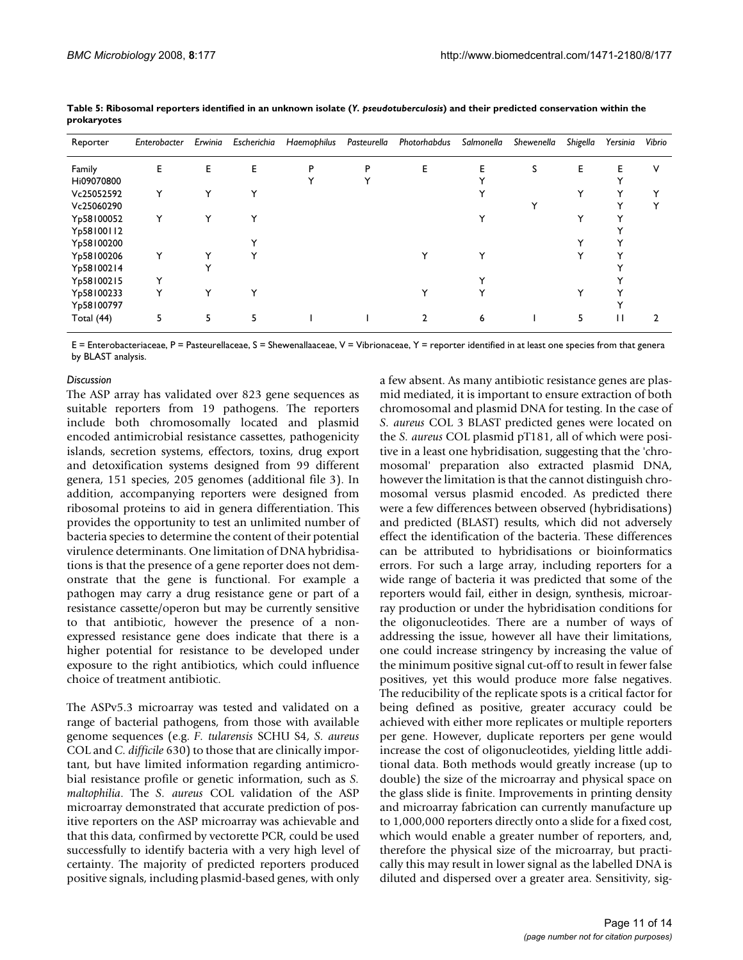| Reporter   | Enterobacter | Erwinia | Escherichia | Haemophilus | Pasteurella | Photorhabdus | Salmonella | Shewenella | Shigella | Yersinia | Vibrio |
|------------|--------------|---------|-------------|-------------|-------------|--------------|------------|------------|----------|----------|--------|
| Family     | Е            | Е       | E           | P           | P           | Е            | Е          | s          | Е        | Е        |        |
| Hi09070800 |              |         |             |             |             |              |            |            |          |          |        |
| Vc25052592 |              |         |             |             |             |              |            |            | Y        |          |        |
| Vc25060290 |              |         |             |             |             |              |            |            |          |          |        |
| Yp58100052 | Y            |         | 丷           |             |             |              |            |            |          |          |        |
| Yp58100112 |              |         |             |             |             |              |            |            |          |          |        |
| Yp58100200 |              |         |             |             |             |              |            |            |          |          |        |
| Yp58100206 | Y            |         |             |             |             |              |            |            |          |          |        |
| Yp58100214 |              |         |             |             |             |              |            |            |          |          |        |
| Yp58100215 | 丷            |         |             |             |             |              |            |            |          |          |        |
| Yp58100233 |              |         | Y           |             |             |              |            |            | Y        |          |        |
| Yp58100797 |              |         |             |             |             |              |            |            |          |          |        |
| Total (44) |              | 5.      |             |             |             |              | ь          |            | 5        | н        |        |

**Table 5: Ribosomal reporters identified in an unknown isolate (***Y. pseudotuberculosis***) and their predicted conservation within the prokaryotes**

E = Enterobacteriaceae, P = Pasteurellaceae, S = Shewenallaaceae, V = Vibrionaceae, Y = reporter identified in at least one species from that genera by BLAST analysis.

#### *Discussion*

The ASP array has validated over 823 gene sequences as suitable reporters from 19 pathogens. The reporters include both chromosomally located and plasmid encoded antimicrobial resistance cassettes, pathogenicity islands, secretion systems, effectors, toxins, drug export and detoxification systems designed from 99 different genera, 151 species, 205 genomes (additional file 3). In addition, accompanying reporters were designed from ribosomal proteins to aid in genera differentiation. This provides the opportunity to test an unlimited number of bacteria species to determine the content of their potential virulence determinants. One limitation of DNA hybridisations is that the presence of a gene reporter does not demonstrate that the gene is functional. For example a pathogen may carry a drug resistance gene or part of a resistance cassette/operon but may be currently sensitive to that antibiotic, however the presence of a nonexpressed resistance gene does indicate that there is a higher potential for resistance to be developed under exposure to the right antibiotics, which could influence choice of treatment antibiotic.

The ASPv5.3 microarray was tested and validated on a range of bacterial pathogens, from those with available genome sequences (e.g. *F. tularensis* SCHU S4, *S. aureus* COL and *C. difficile* 630) to those that are clinically important, but have limited information regarding antimicrobial resistance profile or genetic information, such as *S. maltophilia*. The *S. aureus* COL validation of the ASP microarray demonstrated that accurate prediction of positive reporters on the ASP microarray was achievable and that this data, confirmed by vectorette PCR, could be used successfully to identify bacteria with a very high level of certainty. The majority of predicted reporters produced positive signals, including plasmid-based genes, with only a few absent. As many antibiotic resistance genes are plasmid mediated, it is important to ensure extraction of both chromosomal and plasmid DNA for testing. In the case of *S. aureus* COL 3 BLAST predicted genes were located on the *S. aureus* COL plasmid pT181, all of which were positive in a least one hybridisation, suggesting that the 'chromosomal' preparation also extracted plasmid DNA, however the limitation is that the cannot distinguish chromosomal versus plasmid encoded. As predicted there were a few differences between observed (hybridisations) and predicted (BLAST) results, which did not adversely effect the identification of the bacteria. These differences can be attributed to hybridisations or bioinformatics errors. For such a large array, including reporters for a wide range of bacteria it was predicted that some of the reporters would fail, either in design, synthesis, microarray production or under the hybridisation conditions for the oligonucleotides. There are a number of ways of addressing the issue, however all have their limitations, one could increase stringency by increasing the value of the minimum positive signal cut-off to result in fewer false positives, yet this would produce more false negatives. The reducibility of the replicate spots is a critical factor for being defined as positive, greater accuracy could be achieved with either more replicates or multiple reporters per gene. However, duplicate reporters per gene would increase the cost of oligonucleotides, yielding little additional data. Both methods would greatly increase (up to double) the size of the microarray and physical space on the glass slide is finite. Improvements in printing density and microarray fabrication can currently manufacture up to 1,000,000 reporters directly onto a slide for a fixed cost, which would enable a greater number of reporters, and, therefore the physical size of the microarray, but practically this may result in lower signal as the labelled DNA is diluted and dispersed over a greater area. Sensitivity, sig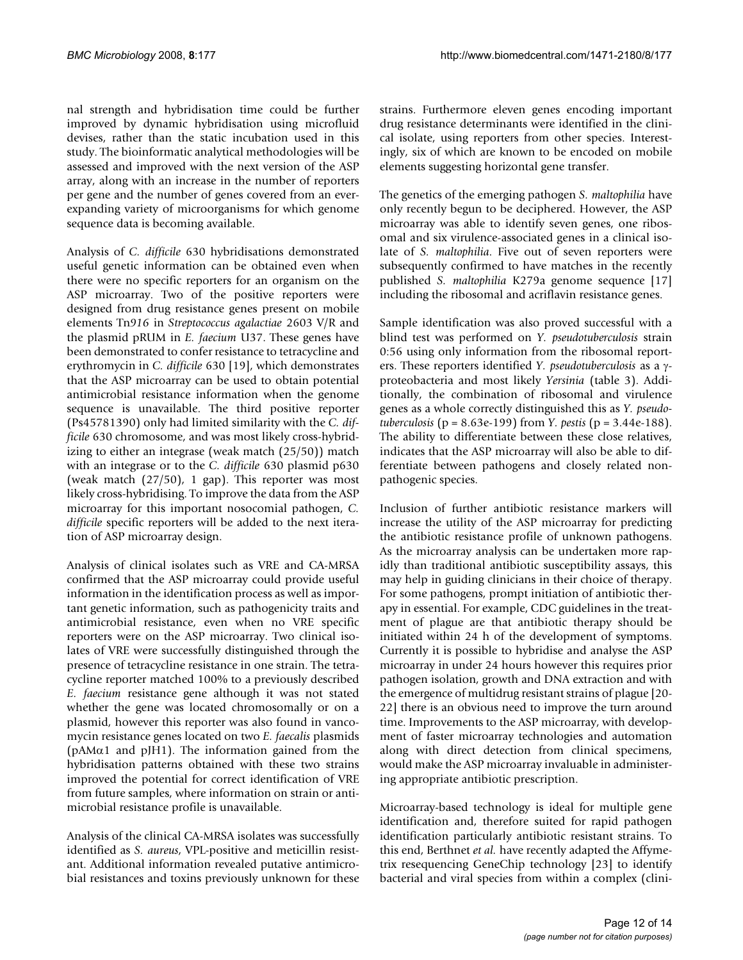nal strength and hybridisation time could be further improved by dynamic hybridisation using microfluid devises, rather than the static incubation used in this study. The bioinformatic analytical methodologies will be assessed and improved with the next version of the ASP array, along with an increase in the number of reporters per gene and the number of genes covered from an everexpanding variety of microorganisms for which genome sequence data is becoming available.

Analysis of *C. difficile* 630 hybridisations demonstrated useful genetic information can be obtained even when there were no specific reporters for an organism on the ASP microarray. Two of the positive reporters were designed from drug resistance genes present on mobile elements Tn*916* in *Streptococcus agalactiae* 2603 V/R and the plasmid pRUM in *E. faecium* U37. These genes have been demonstrated to confer resistance to tetracycline and erythromycin in *C. difficile* 630 [[19\]](#page-13-2), which demonstrates that the ASP microarray can be used to obtain potential antimicrobial resistance information when the genome sequence is unavailable. The third positive reporter (Ps45781390) only had limited similarity with the *C. difficile* 630 chromosome, and was most likely cross-hybridizing to either an integrase (weak match (25/50)) match with an integrase or to the *C. difficile* 630 plasmid p630 (weak match (27/50), 1 gap). This reporter was most likely cross-hybridising. To improve the data from the ASP microarray for this important nosocomial pathogen, *C. difficile* specific reporters will be added to the next iteration of ASP microarray design.

Analysis of clinical isolates such as VRE and CA-MRSA confirmed that the ASP microarray could provide useful information in the identification process as well as important genetic information, such as pathogenicity traits and antimicrobial resistance, even when no VRE specific reporters were on the ASP microarray. Two clinical isolates of VRE were successfully distinguished through the presence of tetracycline resistance in one strain. The tetracycline reporter matched 100% to a previously described *E. faecium* resistance gene although it was not stated whether the gene was located chromosomally or on a plasmid, however this reporter was also found in vancomycin resistance genes located on two *E. faecalis* plasmids (pAMα1 and pJH1). The information gained from the hybridisation patterns obtained with these two strains improved the potential for correct identification of VRE from future samples, where information on strain or antimicrobial resistance profile is unavailable.

Analysis of the clinical CA-MRSA isolates was successfully identified as *S. aureus*, VPL-positive and meticillin resistant. Additional information revealed putative antimicrobial resistances and toxins previously unknown for these

strains. Furthermore eleven genes encoding important drug resistance determinants were identified in the clinical isolate, using reporters from other species. Interestingly, six of which are known to be encoded on mobile elements suggesting horizontal gene transfer.

The genetics of the emerging pathogen *S. maltophilia* have only recently begun to be deciphered. However, the ASP microarray was able to identify seven genes, one ribosomal and six virulence-associated genes in a clinical isolate of *S. maltophilia*. Five out of seven reporters were subsequently confirmed to have matches in the recently published *S. maltophilia* K279a genome sequence [[17\]](#page-13-1) including the ribosomal and acriflavin resistance genes.

Sample identification was also proved successful with a blind test was performed on *Y. pseudotuberculosis* strain 0:56 using only information from the ribosomal reporters. These reporters identified *Y. pseudotuberculosis* as a γproteobacteria and most likely *Yersinia* (table 3). Additionally, the combination of ribosomal and virulence genes as a whole correctly distinguished this as *Y. pseudotuberculosis* (p = 8.63e-199) from *Y. pestis* (p = 3.44e-188). The ability to differentiate between these close relatives, indicates that the ASP microarray will also be able to differentiate between pathogens and closely related nonpathogenic species.

Inclusion of further antibiotic resistance markers will increase the utility of the ASP microarray for predicting the antibiotic resistance profile of unknown pathogens. As the microarray analysis can be undertaken more rapidly than traditional antibiotic susceptibility assays, this may help in guiding clinicians in their choice of therapy. For some pathogens, prompt initiation of antibiotic therapy in essential. For example, CDC guidelines in the treatment of plague are that antibiotic therapy should be initiated within 24 h of the development of symptoms. Currently it is possible to hybridise and analyse the ASP microarray in under 24 hours however this requires prior pathogen isolation, growth and DNA extraction and with the emergence of multidrug resistant strains of plague [20- 22] there is an obvious need to improve the turn around time. Improvements to the ASP microarray, with development of faster microarray technologies and automation along with direct detection from clinical specimens, would make the ASP microarray invaluable in administering appropriate antibiotic prescription.

Microarray-based technology is ideal for multiple gene identification and, therefore suited for rapid pathogen identification particularly antibiotic resistant strains. To this end, Berthnet *et al.* have recently adapted the Affymetrix resequencing GeneChip technology [23] to identify bacterial and viral species from within a complex (clini-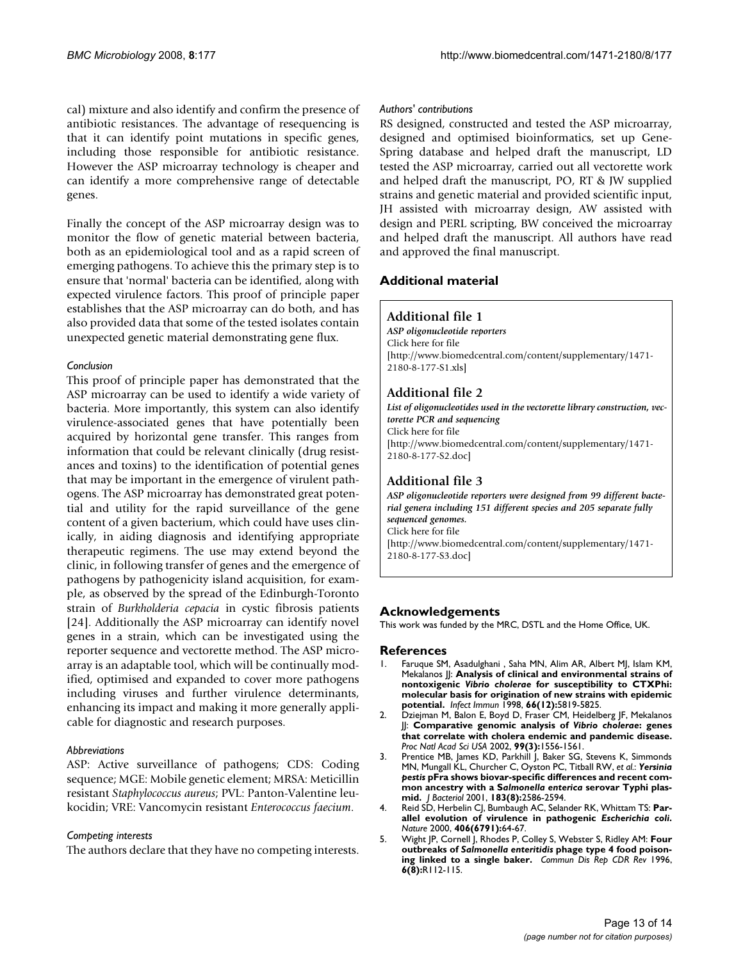cal) mixture and also identify and confirm the presence of antibiotic resistances. The advantage of resequencing is that it can identify point mutations in specific genes, including those responsible for antibiotic resistance. However the ASP microarray technology is cheaper and can identify a more comprehensive range of detectable genes.

Finally the concept of the ASP microarray design was to monitor the flow of genetic material between bacteria, both as an epidemiological tool and as a rapid screen of emerging pathogens. To achieve this the primary step is to ensure that 'normal' bacteria can be identified, along with expected virulence factors. This proof of principle paper establishes that the ASP microarray can do both, and has also provided data that some of the tested isolates contain unexpected genetic material demonstrating gene flux.

### *Conclusion*

This proof of principle paper has demonstrated that the ASP microarray can be used to identify a wide variety of bacteria. More importantly, this system can also identify virulence-associated genes that have potentially been acquired by horizontal gene transfer. This ranges from information that could be relevant clinically (drug resistances and toxins) to the identification of potential genes that may be important in the emergence of virulent pathogens. The ASP microarray has demonstrated great potential and utility for the rapid surveillance of the gene content of a given bacterium, which could have uses clinically, in aiding diagnosis and identifying appropriate therapeutic regimens. The use may extend beyond the clinic, in following transfer of genes and the emergence of pathogens by pathogenicity island acquisition, for example, as observed by the spread of the Edinburgh-Toronto strain of *Burkholderia cepacia* in cystic fibrosis patients [[24](#page-13-3)]. Additionally the ASP microarray can identify novel genes in a strain, which can be investigated using the reporter sequence and vectorette method. The ASP microarray is an adaptable tool, which will be continually modified, optimised and expanded to cover more pathogens including viruses and further virulence determinants, enhancing its impact and making it more generally applicable for diagnostic and research purposes.

# *Abbreviations*

ASP: Active surveillance of pathogens; CDS: Coding sequence; MGE: Mobile genetic element; MRSA: Meticillin resistant *Staphylococcus aureus*; PVL: Panton-Valentine leukocidin; VRE: Vancomycin resistant *Enterococcus faecium*.

# *Competing interests*

The authors declare that they have no competing interests.

#### *Authors' contributions*

RS designed, constructed and tested the ASP microarray, designed and optimised bioinformatics, set up Gene-Spring database and helped draft the manuscript, LD tested the ASP microarray, carried out all vectorette work and helped draft the manuscript, PO, RT & JW supplied strains and genetic material and provided scientific input, JH assisted with microarray design, AW assisted with design and PERL scripting, BW conceived the microarray and helped draft the manuscript. All authors have read and approved the final manuscript.

# **Additional material**

#### **Additional file 1**

*ASP oligonucleotide reporters* Click here for file [\[http://www.biomedcentral.com/content/supplementary/1471-](http://www.biomedcentral.com/content/supplementary/1471-2180-8-177-S1.xls) 2180-8-177-S1.xls]

# **Additional file 2**

*List of oligonucleotides used in the vectorette library construction, vectorette PCR and sequencing* Click here for file [\[http://www.biomedcentral.com/content/supplementary/1471-](http://www.biomedcentral.com/content/supplementary/1471-2180-8-177-S2.doc) 2180-8-177-S2.doc]

# **Additional file 3**

*ASP oligonucleotide reporters were designed from 99 different bacterial genera including 151 different species and 205 separate fully sequenced genomes.* Click here for file [\[http://www.biomedcentral.com/content/supplementary/1471-](http://www.biomedcentral.com/content/supplementary/1471-2180-8-177-S3.doc)

2180-8-177-S3.doc]

# **Acknowledgements**

This work was funded by the MRC, DSTL and the Home Office, UK.

#### **References**

- 1. Faruque SM, Asadulghani , Saha MN, Alim AR, Albert MJ, Islam KM, Mekalanos JJ: **Analysis of clinical and environmental strains of nontoxigenic** *Vibrio cholerae* **[for susceptibility to CTXPhi:](http://www.ncbi.nlm.nih.gov/entrez/query.fcgi?cmd=Retrieve&db=PubMed&dopt=Abstract&list_uids=9826360) [molecular basis for origination of new strains with epidemic](http://www.ncbi.nlm.nih.gov/entrez/query.fcgi?cmd=Retrieve&db=PubMed&dopt=Abstract&list_uids=9826360) [potential.](http://www.ncbi.nlm.nih.gov/entrez/query.fcgi?cmd=Retrieve&db=PubMed&dopt=Abstract&list_uids=9826360)** *Infect Immun* 1998, **66(12):**5819-5825.
- 2. Dziejman M, Balon E, Boyd D, Fraser CM, Heidelberg JF, Mekalanos JJ: **Comparative genomic analysis of** *Vibrio cholerae***[: genes](http://www.ncbi.nlm.nih.gov/entrez/query.fcgi?cmd=Retrieve&db=PubMed&dopt=Abstract&list_uids=11818571) [that correlate with cholera endemic and pandemic disease.](http://www.ncbi.nlm.nih.gov/entrez/query.fcgi?cmd=Retrieve&db=PubMed&dopt=Abstract&list_uids=11818571)** *Proc Natl Acad Sci USA* 2002, **99(3):**1556-1561.
- 3. Prentice MB, James KD, Parkhill J, Baker SG, Stevens K, Simmonds MN, Mungall KL, Churcher C, Oyston PC, Titball RW, *et al.*: *Yersinia pestis* **pFra shows biovar-specific differences and recent common ancestry with a S***almonella enterica* **[serovar Typhi plas](http://www.ncbi.nlm.nih.gov/entrez/query.fcgi?cmd=Retrieve&db=PubMed&dopt=Abstract&list_uids=11274119)[mid.](http://www.ncbi.nlm.nih.gov/entrez/query.fcgi?cmd=Retrieve&db=PubMed&dopt=Abstract&list_uids=11274119)** *J Bacteriol* 2001, **183(8):**2586-2594.
- 4. Reid SD, Herbelin CJ, Bumbaugh AC, Selander RK, Whittam TS: **Parallel evolution of virulence in pathogenic** *Escherichia coli***[.](http://www.ncbi.nlm.nih.gov/entrez/query.fcgi?cmd=Retrieve&db=PubMed&dopt=Abstract&list_uids=10894541)** *Nature* 2000, **406(6791):**64-67.
- <span id="page-12-0"></span>5. Wight JP, Cornell J, Rhodes P, Colley S, Webster S, Ridley AM: **Four outbreaks of** *Salmonella enteritidis* **[phage type 4 food poison](http://www.ncbi.nlm.nih.gov/entrez/query.fcgi?cmd=Retrieve&db=PubMed&dopt=Abstract&list_uids=8755673)[ing linked to a single baker.](http://www.ncbi.nlm.nih.gov/entrez/query.fcgi?cmd=Retrieve&db=PubMed&dopt=Abstract&list_uids=8755673)** *Commun Dis Rep CDR Rev* 1996, **6(8):**R112-115.